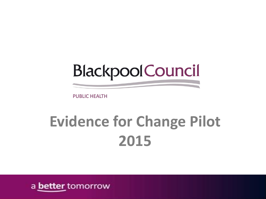**Blackpool Council** 

## **Evidence for Change Pilot 2015**

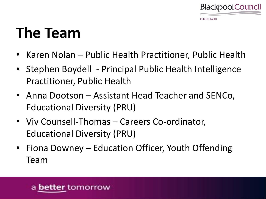

#### **The Team**

- Karen Nolan Public Health Practitioner, Public Health
- Stephen Boydell Principal Public Health Intelligence Practitioner, Public Health
- Anna Dootson Assistant Head Teacher and SENCo, Educational Diversity (PRU)
- Viv Counsell-Thomas Careers Co-ordinator, Educational Diversity (PRU)
- Fiona Downey Education Officer, Youth Offending Team

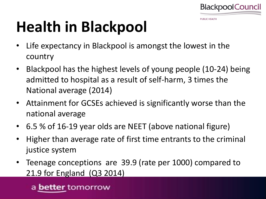

# **Health in Blackpool**

- Life expectancy in Blackpool is amongst the lowest in the country
- Blackpool has the highest levels of young people (10-24) being admitted to hospital as a result of self-harm, 3 times the National average (2014)
- Attainment for GCSEs achieved is significantly worse than the national average
- 6.5 % of 16-19 year olds are NEET (above national figure)
- Higher than average rate of first time entrants to the criminal justice system
- Teenage conceptions are 39.9 (rate per 1000) compared to 21.9 for England (Q3 2014)

a **better** tomorrow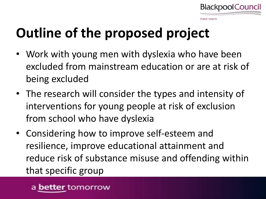

#### **IRLIC HEALTH**

#### **Outline of the proposed project**

- Work with young men with dyslexia who have been excluded from mainstream education or are at risk of being excluded
- The research will consider the types and intensity of interventions for young people at risk of exclusion from school who have dyslexia
- Considering how to improve self-esteem and resilience, improve educational attainment and reduce risk of substance misuse and offending within that specific group

**better** tomorrow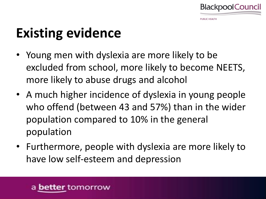

#### **Existing evidence**

- Young men with dyslexia are more likely to be excluded from school, more likely to become NEETS, more likely to abuse drugs and alcohol
- A much higher incidence of dyslexia in young people who offend (between 43 and 57%) than in the wider population compared to 10% in the general population
- Furthermore, people with dyslexia are more likely to have low self-esteem and depression

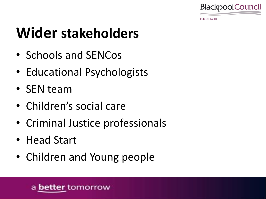

#### **Wider stakeholders**

- Schools and SENCos
- Educational Psychologists
- SEN team
- Children's social care
- Criminal Justice professionals
- Head Start
- Children and Young people

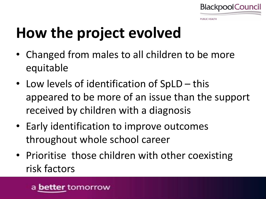

# **How the project evolved**

- Changed from males to all children to be more equitable
- Low levels of identification of SpLD this appeared to be more of an issue than the support received by children with a diagnosis
- Early identification to improve outcomes throughout whole school career
- Prioritise those children with other coexisting risk factors

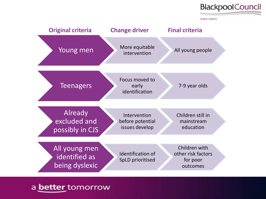



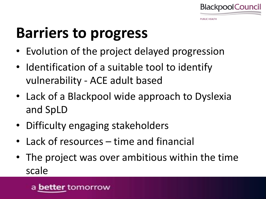

## **Barriers to progress**

- Evolution of the project delayed progression
- Identification of a suitable tool to identify vulnerability - ACE adult based
- Lack of a Blackpool wide approach to Dyslexia and SpLD
- Difficulty engaging stakeholders
- Lack of resources time and financial
- The project was over ambitious within the time scale

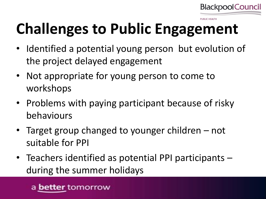

# **Challenges to Public Engagement**

- Identified a potential young person but evolution of the project delayed engagement
- Not appropriate for young person to come to workshops
- Problems with paying participant because of risky behaviours
- Target group changed to younger children not suitable for PPI
- Teachers identified as potential PPI participants during the summer holidays

a **better** tomorrow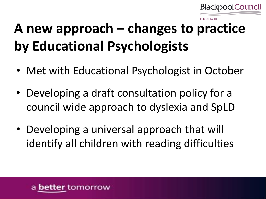

#### **A new approach – changes to practice by Educational Psychologists**

- Met with Educational Psychologist in October
- Developing a draft consultation policy for a council wide approach to dyslexia and SpLD
- Developing a universal approach that will identify all children with reading difficulties

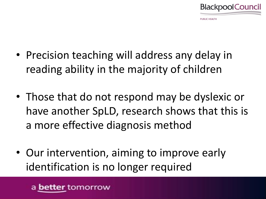

- Precision teaching will address any delay in reading ability in the majority of children
- Those that do not respond may be dyslexic or have another SpLD, research shows that this is a more effective diagnosis method
- Our intervention, aiming to improve early identification is no longer required

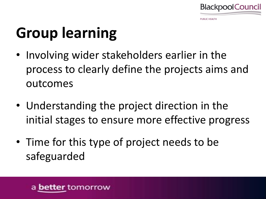

# **Group learning**

- Involving wider stakeholders earlier in the process to clearly define the projects aims and outcomes
- Understanding the project direction in the initial stages to ensure more effective progress
- Time for this type of project needs to be safeguarded

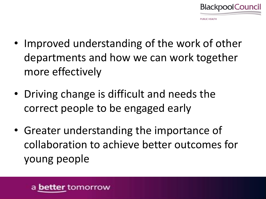

- Improved understanding of the work of other departments and how we can work together more effectively
- Driving change is difficult and needs the correct people to be engaged early
- Greater understanding the importance of collaboration to achieve better outcomes for young people

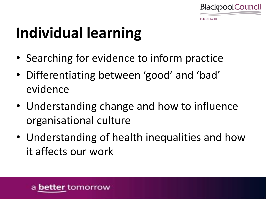

## **Individual learning**

- Searching for evidence to inform practice
- Differentiating between 'good' and 'bad' evidence
- Understanding change and how to influence organisational culture
- Understanding of health inequalities and how it affects our work